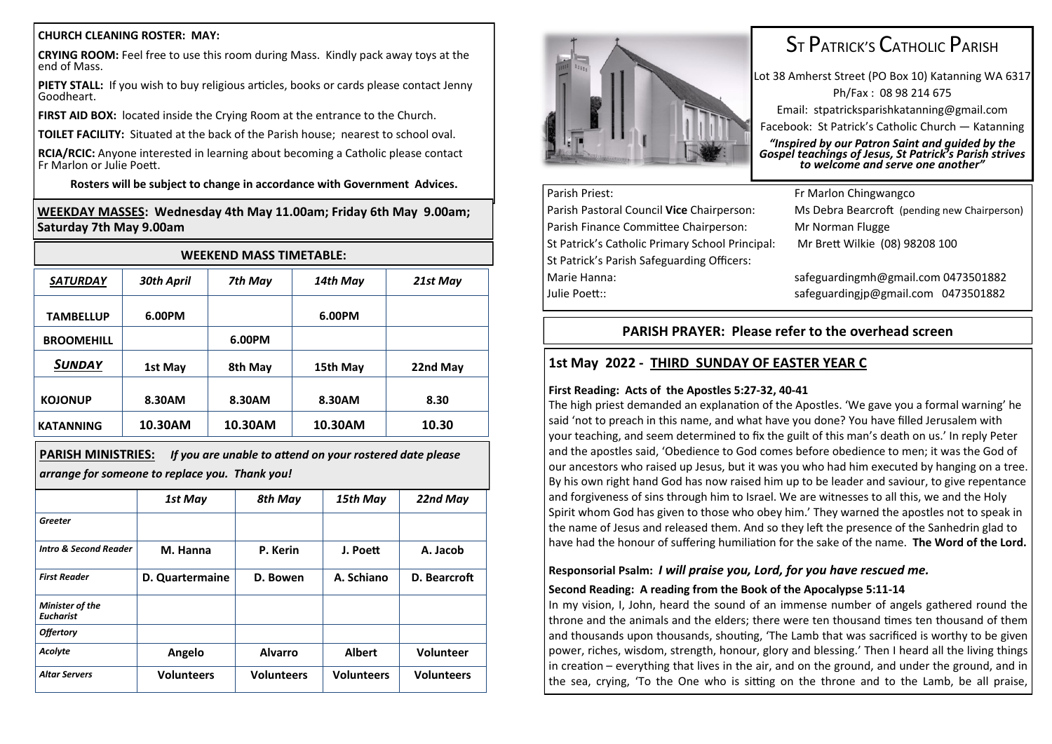#### **CHURCH CLEANING ROSTER: MAY:**

**CRYING ROOM:** Feel free to use this room during Mass. Kindly pack away toys at the end of Mass.

**PIETY STALL:** If you wish to buy religious articles, books or cards please contact Jenny Goodheart.

**FIRST AID BOX:** located inside the Crying Room at the entrance to the Church.

**TOILET FACILITY:** Situated at the back of the Parish house; nearest to school oval.

**RCIA/RCIC:** Anyone interested in learning about becoming a Catholic please contact Fr Marlon or Julie Poett.

**Rosters will be subject to change in accordance with Government Advices.**

**WEEKDAY MASSES: Wednesday 4th May 11.00am; Friday 6th May 9.00am; Saturday 7th May 9.00am**

| <b>WEEKEND MASS TIMETABLE:</b> |            |         |          |          |  |
|--------------------------------|------------|---------|----------|----------|--|
| <b>SATURDAY</b>                | 30th April | 7th May | 14th May | 21st May |  |
| <b>TAMBELLUP</b>               | 6.00PM     |         | 6.00PM   |          |  |
| <b>BROOMEHILL</b>              |            | 6.00PM  |          |          |  |
| <b>SUNDAY</b>                  | 1st May    | 8th May | 15th May | 22nd May |  |
| <b>KOJONUP</b>                 | 8.30AM     | 8.30AM  | 8.30AM   | 8.30     |  |
| <b>KATANNING</b>               | 10.30AM    | 10.30AM | 10.30AM  | 10.30    |  |

**PARISH MINISTRIES:** *If you are unable to attend on your rostered date please arrange for someone to replace you. Thank you!*

|                                     | 1st May           | 8th May           | 15th May          | 22nd May          |
|-------------------------------------|-------------------|-------------------|-------------------|-------------------|
| Greeter                             |                   |                   |                   |                   |
| <b>Intro &amp; Second Reader</b>    | M. Hanna          | P. Kerin          | J. Poett          | A. Jacob          |
| <b>First Reader</b>                 | D. Quartermaine   | D. Bowen          | A. Schiano        | D. Bearcroft      |
| Minister of the<br><b>Eucharist</b> |                   |                   |                   |                   |
| <b>Offertory</b>                    |                   |                   |                   |                   |
| Acolyte                             | Angelo            | <b>Alvarro</b>    | <b>Albert</b>     | Volunteer         |
| <b>Altar Servers</b>                | <b>Volunteers</b> | <b>Volunteers</b> | <b>Volunteers</b> | <b>Volunteers</b> |



# ST PATRICK'S CATHOLIC PARISH

Lot 38 Amherst Street (PO Box 10) Katanning WA 6317 Ph/Fax : 08 98 214 675 Email: stpatricksparishkatanning@gmail.com Facebook: St Patrick's Catholic Church — Katanning

*"Inspired by our Patron Saint and guided by the Gospel teachings of Jesus, St Patrick's Parish strives to welcome and serve one another"*

## Parish Priest: Fr Marlon Chingwangco

### Parish Finance Committee Chairperson: Mr Norman Flugge St Patrick's Catholic Primary School Principal: Mr Brett Wilkie (08) 98208 100 St Patrick's Parish Safeguarding Officers: Marie Hanna: safeguardingmh@gmail.com 0473501882 Julie Poett:: safeguardingjp@gmail.com 0473501882

Parish Pastoral Council **Vice** Chairperson: Ms Debra Bearcroft (pending new Chairperson)

#### **PARISH PRAYER: Please refer to the overhead screen**

#### **1st May 2022 - THIRD SUNDAY OF EASTER YEAR C**

#### **First Reading: Acts of the Apostles 5:27-32, 40-41**

The high priest demanded an explanation of the Apostles. 'We gave you a formal warning' he said 'not to preach in this name, and what have you done? You have filled Jerusalem with your teaching, and seem determined to fix the guilt of this man's death on us.' In reply Peter and the apostles said, 'Obedience to God comes before obedience to men; it was the God of our ancestors who raised up Jesus, but it was you who had him executed by hanging on a tree. By his own right hand God has now raised him up to be leader and saviour, to give repentance and forgiveness of sins through him to Israel. We are witnesses to all this, we and the Holy Spirit whom God has given to those who obey him.' They warned the apostles not to speak in the name of Jesus and released them. And so they left the presence of the Sanhedrin glad to have had the honour of suffering humiliation for the sake of the name. **The Word of the Lord.**

#### **Responsorial Psalm:** *I will praise you, Lord, for you have rescued me.*

#### **Second Reading: A reading from the Book of the Apocalypse 5:11-14**

In my vision, I, John, heard the sound of an immense number of angels gathered round the throne and the animals and the elders; there were ten thousand times ten thousand of them and thousands upon thousands, shouting, 'The Lamb that was sacrificed is worthy to be given power, riches, wisdom, strength, honour, glory and blessing.' Then I heard all the living things in creation – everything that lives in the air, and on the ground, and under the ground, and in the sea, crying, 'To the One who is sitting on the throne and to the Lamb, be all praise,